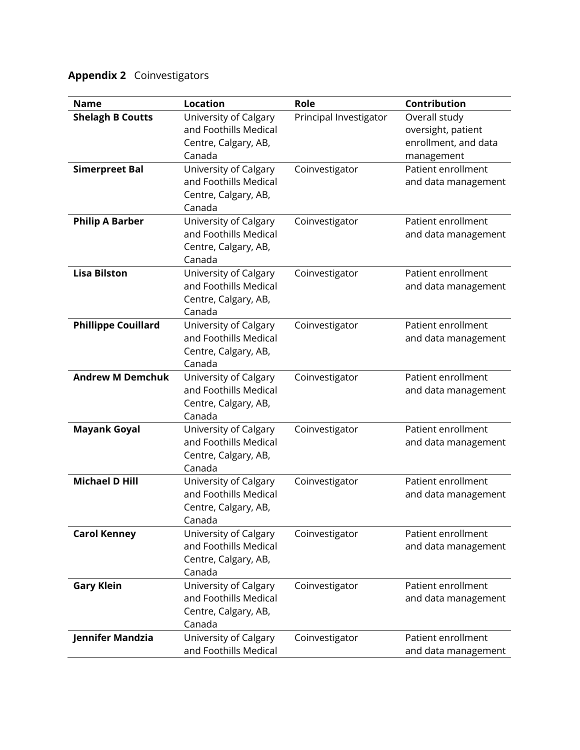## **Appendix 2** Coinvestigators

| <b>Name</b>                | <b>Location</b>                                | Role                   | Contribution                              |
|----------------------------|------------------------------------------------|------------------------|-------------------------------------------|
| <b>Shelagh B Coutts</b>    | University of Calgary                          | Principal Investigator | Overall study                             |
|                            | and Foothills Medical                          |                        | oversight, patient                        |
|                            | Centre, Calgary, AB,                           |                        | enrollment, and data                      |
|                            | Canada                                         |                        | management                                |
| <b>Simerpreet Bal</b>      | University of Calgary                          | Coinvestigator         | Patient enrollment                        |
|                            | and Foothills Medical                          |                        | and data management                       |
|                            | Centre, Calgary, AB,                           |                        |                                           |
|                            | Canada                                         |                        |                                           |
| <b>Philip A Barber</b>     | University of Calgary<br>and Foothills Medical | Coinvestigator         | Patient enrollment<br>and data management |
|                            | Centre, Calgary, AB,                           |                        |                                           |
|                            | Canada                                         |                        |                                           |
| <b>Lisa Bilston</b>        | University of Calgary                          | Coinvestigator         | Patient enrollment                        |
|                            | and Foothills Medical                          |                        | and data management                       |
|                            | Centre, Calgary, AB,                           |                        |                                           |
|                            | Canada                                         |                        |                                           |
| <b>Phillippe Couillard</b> | University of Calgary                          | Coinvestigator         | Patient enrollment                        |
|                            | and Foothills Medical                          |                        | and data management                       |
|                            | Centre, Calgary, AB,                           |                        |                                           |
|                            | Canada                                         |                        |                                           |
| <b>Andrew M Demchuk</b>    | University of Calgary                          | Coinvestigator         | Patient enrollment                        |
|                            | and Foothills Medical                          |                        | and data management                       |
|                            | Centre, Calgary, AB,<br>Canada                 |                        |                                           |
| <b>Mayank Goyal</b>        | University of Calgary                          | Coinvestigator         | Patient enrollment                        |
|                            | and Foothills Medical                          |                        | and data management                       |
|                            | Centre, Calgary, AB,                           |                        |                                           |
|                            | Canada                                         |                        |                                           |
| <b>Michael D Hill</b>      | University of Calgary                          | Coinvestigator         | Patient enrollment                        |
|                            | and Foothills Medical                          |                        | and data management                       |
|                            | Centre, Calgary, AB,                           |                        |                                           |
|                            | Canada                                         |                        |                                           |
| <b>Carol Kenney</b>        | University of Calgary                          | Coinvestigator         | Patient enrollment                        |
|                            | and Foothills Medical                          |                        | and data management                       |
|                            | Centre, Calgary, AB,                           |                        |                                           |
|                            | Canada                                         |                        | Patient enrollment                        |
| <b>Gary Klein</b>          | University of Calgary<br>and Foothills Medical | Coinvestigator         | and data management                       |
|                            | Centre, Calgary, AB,                           |                        |                                           |
|                            | Canada                                         |                        |                                           |
| Jennifer Mandzia           | University of Calgary                          | Coinvestigator         | Patient enrollment                        |
|                            | and Foothills Medical                          |                        | and data management                       |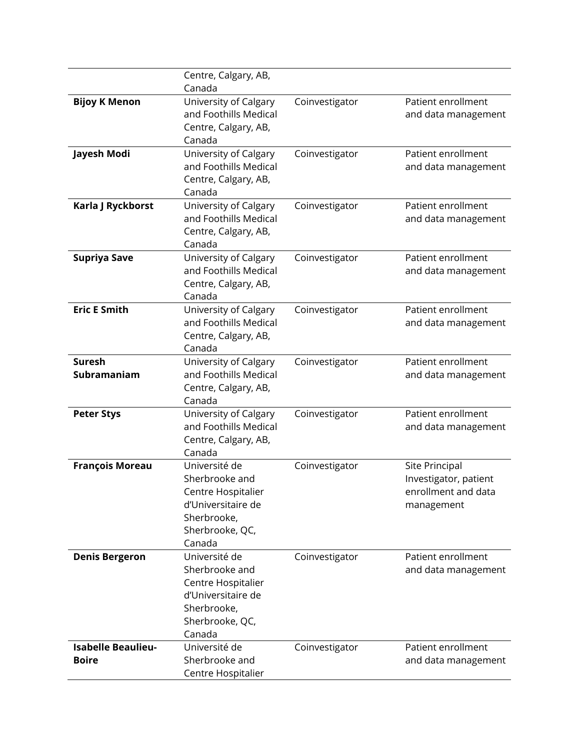|                           | Centre, Calgary, AB,                           |                |                       |
|---------------------------|------------------------------------------------|----------------|-----------------------|
|                           | Canada                                         |                |                       |
| <b>Bijoy K Menon</b>      | University of Calgary                          | Coinvestigator | Patient enrollment    |
|                           | and Foothills Medical                          |                | and data management   |
|                           | Centre, Calgary, AB,                           |                |                       |
|                           | Canada                                         |                |                       |
| Jayesh Modi               | University of Calgary<br>and Foothills Medical | Coinvestigator | Patient enrollment    |
|                           | Centre, Calgary, AB,                           |                | and data management   |
|                           | Canada                                         |                |                       |
| Karla J Ryckborst         | University of Calgary                          | Coinvestigator | Patient enrollment    |
|                           | and Foothills Medical                          |                | and data management   |
|                           | Centre, Calgary, AB,                           |                |                       |
|                           | Canada                                         |                |                       |
| <b>Supriya Save</b>       | University of Calgary                          | Coinvestigator | Patient enrollment    |
|                           | and Foothills Medical                          |                | and data management   |
|                           | Centre, Calgary, AB,                           |                |                       |
|                           | Canada                                         |                |                       |
| <b>Eric E Smith</b>       | University of Calgary                          | Coinvestigator | Patient enrollment    |
|                           | and Foothills Medical                          |                | and data management   |
|                           | Centre, Calgary, AB,                           |                |                       |
|                           | Canada                                         |                |                       |
| <b>Suresh</b>             | University of Calgary                          | Coinvestigator | Patient enrollment    |
| Subramaniam               | and Foothills Medical                          |                | and data management   |
|                           | Centre, Calgary, AB,<br>Canada                 |                |                       |
| <b>Peter Stys</b>         | University of Calgary                          | Coinvestigator | Patient enrollment    |
|                           | and Foothills Medical                          |                | and data management   |
|                           | Centre, Calgary, AB,                           |                |                       |
|                           | Canada                                         |                |                       |
| <b>François Moreau</b>    | Université de                                  | Coinvestigator | Site Principal        |
|                           | Sherbrooke and                                 |                | Investigator, patient |
|                           | Centre Hospitalier                             |                | enrollment and data   |
|                           | d'Universitaire de                             |                | management            |
|                           | Sherbrooke,                                    |                |                       |
|                           | Sherbrooke, QC,                                |                |                       |
|                           | Canada                                         |                |                       |
| <b>Denis Bergeron</b>     | Université de                                  | Coinvestigator | Patient enrollment    |
|                           | Sherbrooke and                                 |                | and data management   |
|                           | Centre Hospitalier                             |                |                       |
|                           | d'Universitaire de                             |                |                       |
|                           | Sherbrooke,                                    |                |                       |
|                           | Sherbrooke, QC,<br>Canada                      |                |                       |
| <b>Isabelle Beaulieu-</b> | Université de                                  | Coinvestigator | Patient enrollment    |
| <b>Boire</b>              | Sherbrooke and                                 |                | and data management   |
|                           | Centre Hospitalier                             |                |                       |
|                           |                                                |                |                       |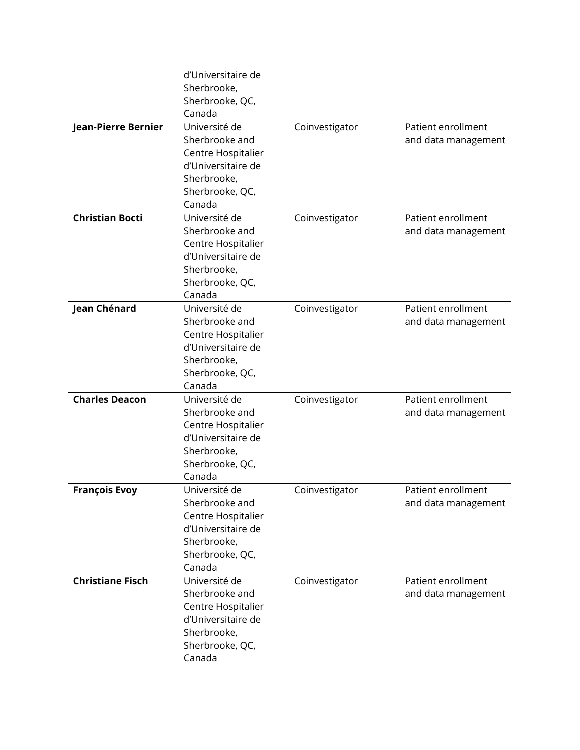|                         | d'Universitaire de                       |                |                     |
|-------------------------|------------------------------------------|----------------|---------------------|
|                         | Sherbrooke,                              |                |                     |
|                         | Sherbrooke, QC,                          |                |                     |
|                         | Canada                                   |                |                     |
| Jean-Pierre Bernier     | Université de                            | Coinvestigator | Patient enrollment  |
|                         | Sherbrooke and                           |                | and data management |
|                         | Centre Hospitalier                       |                |                     |
|                         | d'Universitaire de                       |                |                     |
|                         | Sherbrooke,                              |                |                     |
|                         | Sherbrooke, QC,                          |                |                     |
|                         | Canada                                   |                |                     |
| <b>Christian Bocti</b>  | Université de                            | Coinvestigator | Patient enrollment  |
|                         | Sherbrooke and                           |                | and data management |
|                         | Centre Hospitalier                       |                |                     |
|                         | d'Universitaire de                       |                |                     |
|                         | Sherbrooke,                              |                |                     |
|                         | Sherbrooke, QC,                          |                |                     |
|                         | Canada                                   |                |                     |
| Jean Chénard            | Université de                            | Coinvestigator | Patient enrollment  |
|                         | Sherbrooke and                           |                | and data management |
|                         | Centre Hospitalier                       |                |                     |
|                         | d'Universitaire de                       |                |                     |
|                         | Sherbrooke,                              |                |                     |
|                         | Sherbrooke, QC,                          |                |                     |
|                         | Canada                                   |                |                     |
| <b>Charles Deacon</b>   | Université de                            | Coinvestigator | Patient enrollment  |
|                         | Sherbrooke and                           |                | and data management |
|                         | Centre Hospitalier                       |                |                     |
|                         | d'Universitaire de                       |                |                     |
|                         | Sherbrooke,                              |                |                     |
|                         | Sherbrooke, QC,                          |                |                     |
|                         | Canada                                   |                |                     |
| <b>François Evoy</b>    | Université de                            | Coinvestigator | Patient enrollment  |
|                         | Sherbrooke and                           |                | and data management |
|                         | Centre Hospitalier<br>d'Universitaire de |                |                     |
|                         | Sherbrooke,                              |                |                     |
|                         | Sherbrooke, QC,                          |                |                     |
|                         | Canada                                   |                |                     |
| <b>Christiane Fisch</b> | Université de                            | Coinvestigator | Patient enrollment  |
|                         | Sherbrooke and                           |                | and data management |
|                         | Centre Hospitalier                       |                |                     |
|                         | d'Universitaire de                       |                |                     |
|                         | Sherbrooke,                              |                |                     |
|                         | Sherbrooke, QC,                          |                |                     |
|                         | Canada                                   |                |                     |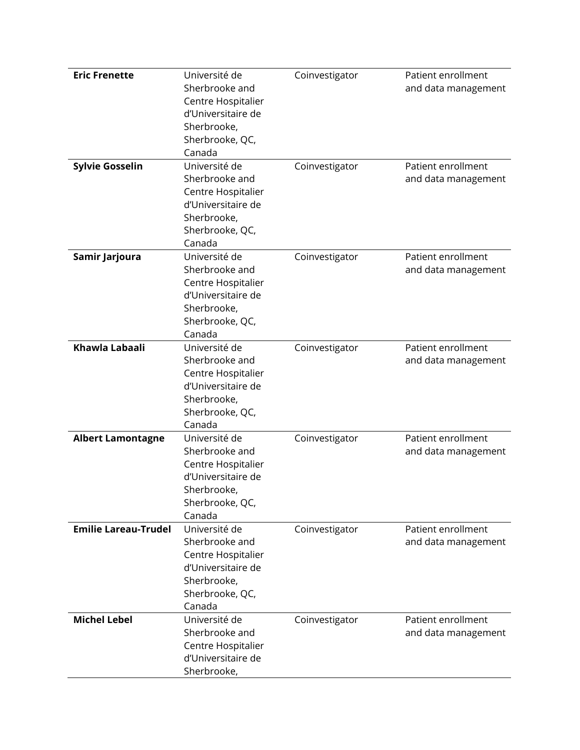| <b>Eric Frenette</b><br><b>Sylvie Gosselin</b> | Université de<br>Sherbrooke and<br>Centre Hospitalier<br>d'Universitaire de<br>Sherbrooke,<br>Sherbrooke, QC,<br>Canada<br>Université de<br>Sherbrooke and<br>Centre Hospitalier<br>d'Universitaire de<br>Sherbrooke,<br>Sherbrooke, QC, | Coinvestigator<br>Coinvestigator | Patient enrollment<br>and data management<br>Patient enrollment<br>and data management |
|------------------------------------------------|------------------------------------------------------------------------------------------------------------------------------------------------------------------------------------------------------------------------------------------|----------------------------------|----------------------------------------------------------------------------------------|
| Samir Jarjoura                                 | Canada<br>Université de<br>Sherbrooke and<br>Centre Hospitalier<br>d'Universitaire de<br>Sherbrooke,<br>Sherbrooke, QC,<br>Canada                                                                                                        | Coinvestigator                   | Patient enrollment<br>and data management                                              |
| Khawla Labaali                                 | Université de<br>Sherbrooke and<br>Centre Hospitalier<br>d'Universitaire de<br>Sherbrooke,<br>Sherbrooke, QC,<br>Canada                                                                                                                  | Coinvestigator                   | Patient enrollment<br>and data management                                              |
| <b>Albert Lamontagne</b>                       | Université de<br>Sherbrooke and<br>Centre Hospitalier<br>d'Universitaire de<br>Sherbrooke,<br>Sherbrooke, QC,<br>Canada                                                                                                                  | Coinvestigator                   | Patient enrollment<br>and data management                                              |
| <b>Emilie Lareau-Trudel</b>                    | Université de<br>Sherbrooke and<br>Centre Hospitalier<br>d'Universitaire de<br>Sherbrooke,<br>Sherbrooke, QC,<br>Canada                                                                                                                  | Coinvestigator                   | Patient enrollment<br>and data management                                              |
| <b>Michel Lebel</b>                            | Université de<br>Sherbrooke and<br>Centre Hospitalier<br>d'Universitaire de<br>Sherbrooke,                                                                                                                                               | Coinvestigator                   | Patient enrollment<br>and data management                                              |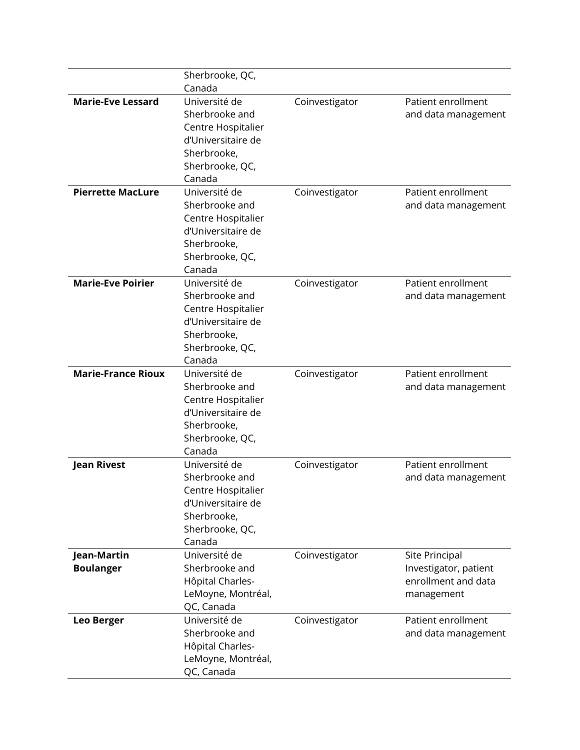|                           | Sherbrooke, QC,           |                |                       |
|---------------------------|---------------------------|----------------|-----------------------|
|                           | Canada                    |                |                       |
| <b>Marie-Eve Lessard</b>  | Université de             | Coinvestigator | Patient enrollment    |
|                           | Sherbrooke and            |                | and data management   |
|                           | Centre Hospitalier        |                |                       |
|                           | d'Universitaire de        |                |                       |
|                           | Sherbrooke,               |                |                       |
|                           | Sherbrooke, QC,           |                |                       |
|                           | Canada                    |                |                       |
| <b>Pierrette MacLure</b>  | Université de             | Coinvestigator | Patient enrollment    |
|                           | Sherbrooke and            |                | and data management   |
|                           | Centre Hospitalier        |                |                       |
|                           | d'Universitaire de        |                |                       |
|                           | Sherbrooke,               |                |                       |
|                           | Sherbrooke, QC,           |                |                       |
|                           | Canada                    |                |                       |
| <b>Marie-Eve Poirier</b>  | Université de             | Coinvestigator | Patient enrollment    |
|                           | Sherbrooke and            |                | and data management   |
|                           | Centre Hospitalier        |                |                       |
|                           | d'Universitaire de        |                |                       |
|                           | Sherbrooke,               |                |                       |
|                           | Sherbrooke, QC,           |                |                       |
|                           | Canada                    |                |                       |
| <b>Marie-France Rioux</b> | Université de             | Coinvestigator | Patient enrollment    |
|                           | Sherbrooke and            |                | and data management   |
|                           | Centre Hospitalier        |                |                       |
|                           | d'Universitaire de        |                |                       |
|                           | Sherbrooke,               |                |                       |
|                           | Sherbrooke, QC,<br>Canada |                |                       |
| <b>Jean Rivest</b>        | Université de             | Coinvestigator | Patient enrollment    |
|                           | Sherbrooke and            |                | and data management   |
|                           | Centre Hospitalier        |                |                       |
|                           | d'Universitaire de        |                |                       |
|                           | Sherbrooke,               |                |                       |
|                           | Sherbrooke, QC,           |                |                       |
|                           | Canada                    |                |                       |
| Jean-Martin               | Université de             | Coinvestigator | Site Principal        |
| <b>Boulanger</b>          | Sherbrooke and            |                | Investigator, patient |
|                           | Hôpital Charles-          |                | enrollment and data   |
|                           | LeMoyne, Montréal,        |                | management            |
|                           | QC, Canada                |                |                       |
| <b>Leo Berger</b>         | Université de             | Coinvestigator | Patient enrollment    |
|                           | Sherbrooke and            |                | and data management   |
|                           | Hôpital Charles-          |                |                       |
|                           | LeMoyne, Montréal,        |                |                       |
|                           | QC, Canada                |                |                       |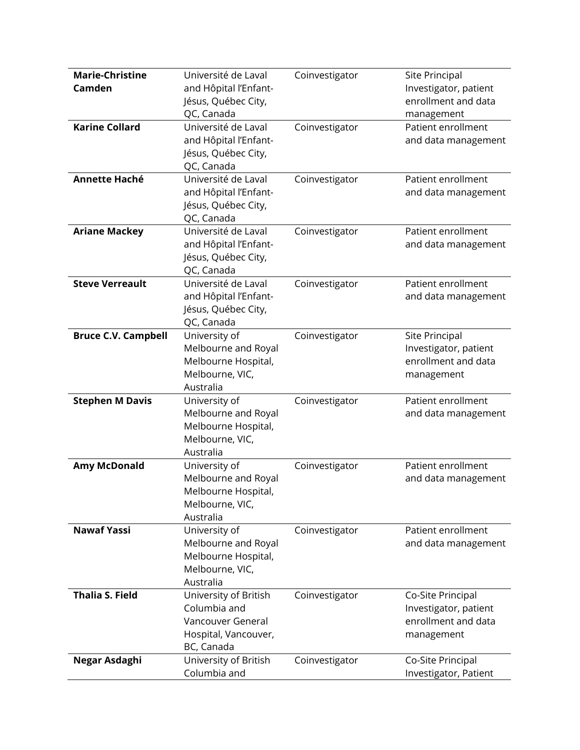| <b>Marie-Christine</b>     | Université de Laval   | Coinvestigator | Site Principal        |
|----------------------------|-----------------------|----------------|-----------------------|
| Camden                     | and Hôpital l'Enfant- |                | Investigator, patient |
|                            | Jésus, Québec City,   |                | enrollment and data   |
|                            | QC, Canada            |                | management            |
| <b>Karine Collard</b>      | Université de Laval   | Coinvestigator | Patient enrollment    |
|                            | and Hôpital l'Enfant- |                | and data management   |
|                            | Jésus, Québec City,   |                |                       |
|                            | QC, Canada            |                |                       |
| <b>Annette Haché</b>       | Université de Laval   | Coinvestigator | Patient enrollment    |
|                            | and Hôpital l'Enfant- |                | and data management   |
|                            | Jésus, Québec City,   |                |                       |
|                            | QC, Canada            |                |                       |
| <b>Ariane Mackey</b>       | Université de Laval   | Coinvestigator | Patient enrollment    |
|                            | and Hôpital l'Enfant- |                | and data management   |
|                            | Jésus, Québec City,   |                |                       |
|                            | QC, Canada            |                |                       |
| <b>Steve Verreault</b>     | Université de Laval   | Coinvestigator | Patient enrollment    |
|                            | and Hôpital l'Enfant- |                | and data management   |
|                            | Jésus, Québec City,   |                |                       |
|                            | QC, Canada            |                |                       |
| <b>Bruce C.V. Campbell</b> | University of         | Coinvestigator | Site Principal        |
|                            | Melbourne and Royal   |                | Investigator, patient |
|                            | Melbourne Hospital,   |                | enrollment and data   |
|                            | Melbourne, VIC,       |                | management            |
|                            | Australia             |                |                       |
| <b>Stephen M Davis</b>     | University of         | Coinvestigator | Patient enrollment    |
|                            | Melbourne and Royal   |                | and data management   |
|                            | Melbourne Hospital,   |                |                       |
|                            | Melbourne, VIC,       |                |                       |
|                            | Australia             |                |                       |
| <b>Amy McDonald</b>        | University of         | Coinvestigator | Patient enrollment    |
|                            | Melbourne and Royal   |                | and data management   |
|                            | Melbourne Hospital,   |                |                       |
|                            | Melbourne, VIC,       |                |                       |
|                            | Australia             |                |                       |
| <b>Nawaf Yassi</b>         | University of         | Coinvestigator | Patient enrollment    |
|                            | Melbourne and Royal   |                | and data management   |
|                            | Melbourne Hospital,   |                |                       |
|                            | Melbourne, VIC,       |                |                       |
|                            | Australia             |                |                       |
| <b>Thalia S. Field</b>     | University of British | Coinvestigator | Co-Site Principal     |
|                            | Columbia and          |                | Investigator, patient |
|                            | Vancouver General     |                | enrollment and data   |
|                            | Hospital, Vancouver,  |                | management            |
|                            | BC, Canada            |                |                       |
| Negar Asdaghi              | University of British | Coinvestigator | Co-Site Principal     |
|                            | Columbia and          |                | Investigator, Patient |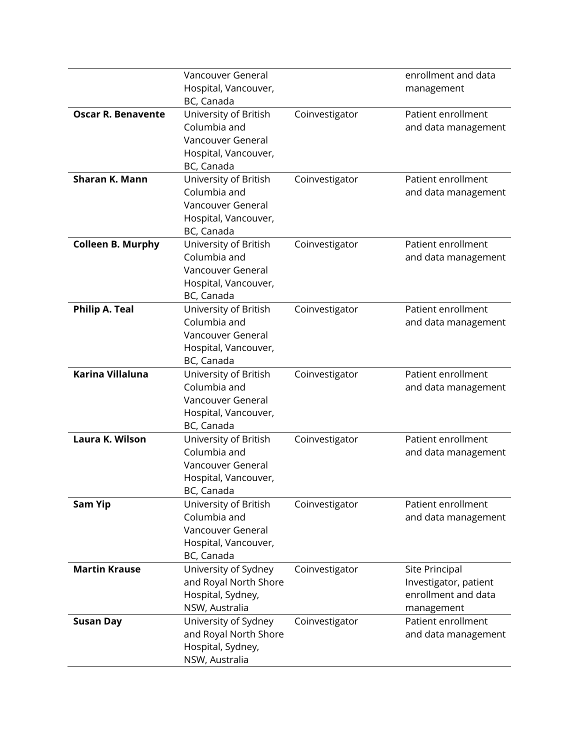|                           | Vancouver General                             |                | enrollment and data                       |
|---------------------------|-----------------------------------------------|----------------|-------------------------------------------|
|                           | Hospital, Vancouver,                          |                | management                                |
|                           | BC, Canada                                    |                |                                           |
| <b>Oscar R. Benavente</b> | University of British                         | Coinvestigator | Patient enrollment                        |
|                           | Columbia and                                  |                | and data management                       |
|                           | Vancouver General                             |                |                                           |
|                           | Hospital, Vancouver,                          |                |                                           |
|                           | BC, Canada                                    |                |                                           |
| Sharan K. Mann            | University of British                         | Coinvestigator | Patient enrollment                        |
|                           | Columbia and                                  |                | and data management                       |
|                           | Vancouver General                             |                |                                           |
|                           | Hospital, Vancouver,                          |                |                                           |
|                           | BC, Canada                                    |                |                                           |
| <b>Colleen B. Murphy</b>  | University of British<br>Columbia and         | Coinvestigator | Patient enrollment<br>and data management |
|                           | Vancouver General                             |                |                                           |
|                           | Hospital, Vancouver,                          |                |                                           |
|                           | BC, Canada                                    |                |                                           |
| <b>Philip A. Teal</b>     | University of British                         | Coinvestigator | Patient enrollment                        |
|                           | Columbia and                                  |                | and data management                       |
|                           | Vancouver General                             |                |                                           |
|                           | Hospital, Vancouver,                          |                |                                           |
|                           | BC, Canada                                    |                |                                           |
| <b>Karina Villaluna</b>   | University of British                         | Coinvestigator | Patient enrollment                        |
|                           | Columbia and                                  |                | and data management                       |
|                           | Vancouver General                             |                |                                           |
|                           | Hospital, Vancouver,                          |                |                                           |
|                           | BC, Canada                                    |                |                                           |
| Laura K. Wilson           | University of British                         | Coinvestigator | Patient enrollment                        |
|                           | Columbia and                                  |                | and data management                       |
|                           | Vancouver General                             |                |                                           |
|                           | Hospital, Vancouver,                          |                |                                           |
|                           | BC, Canada                                    |                |                                           |
| <b>Sam Yip</b>            | University of British                         | Coinvestigator | Patient enrollment                        |
|                           | Columbia and                                  |                | and data management                       |
|                           | Vancouver General                             |                |                                           |
|                           | Hospital, Vancouver,                          |                |                                           |
|                           | BC, Canada                                    |                |                                           |
| <b>Martin Krause</b>      | University of Sydney                          | Coinvestigator | Site Principal                            |
|                           | and Royal North Shore                         |                | Investigator, patient                     |
|                           | Hospital, Sydney,                             |                | enrollment and data                       |
|                           | NSW, Australia                                |                | management<br>Patient enrollment          |
| <b>Susan Day</b>          | University of Sydney<br>and Royal North Shore | Coinvestigator | and data management                       |
|                           | Hospital, Sydney,                             |                |                                           |
|                           | NSW, Australia                                |                |                                           |
|                           |                                               |                |                                           |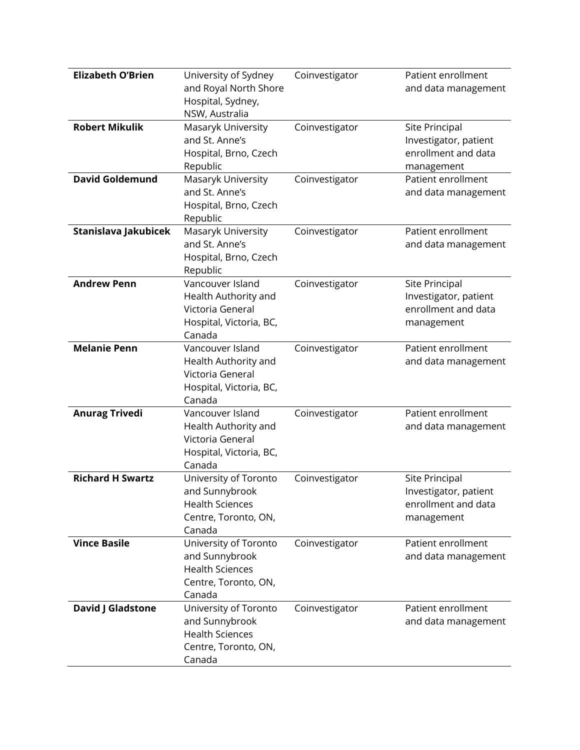| <b>Elizabeth O'Brien</b> | University of Sydney<br>and Royal North Shore<br>Hospital, Sydney,<br>NSW, Australia                | Coinvestigator | Patient enrollment<br>and data management                                    |
|--------------------------|-----------------------------------------------------------------------------------------------------|----------------|------------------------------------------------------------------------------|
| <b>Robert Mikulik</b>    | Masaryk University<br>and St. Anne's<br>Hospital, Brno, Czech<br>Republic                           | Coinvestigator | Site Principal<br>Investigator, patient<br>enrollment and data<br>management |
| <b>David Goldemund</b>   | Masaryk University<br>and St. Anne's<br>Hospital, Brno, Czech<br>Republic                           | Coinvestigator | Patient enrollment<br>and data management                                    |
| Stanislava Jakubicek     | Masaryk University<br>and St. Anne's<br>Hospital, Brno, Czech<br>Republic                           | Coinvestigator | Patient enrollment<br>and data management                                    |
| <b>Andrew Penn</b>       | Vancouver Island<br>Health Authority and<br>Victoria General<br>Hospital, Victoria, BC,<br>Canada   | Coinvestigator | Site Principal<br>Investigator, patient<br>enrollment and data<br>management |
| <b>Melanie Penn</b>      | Vancouver Island<br>Health Authority and<br>Victoria General<br>Hospital, Victoria, BC,<br>Canada   | Coinvestigator | Patient enrollment<br>and data management                                    |
| <b>Anurag Trivedi</b>    | Vancouver Island<br>Health Authority and<br>Victoria General<br>Hospital, Victoria, BC,<br>Canada   | Coinvestigator | Patient enrollment<br>and data management                                    |
| <b>Richard H Swartz</b>  | University of Toronto<br>and Sunnybrook<br><b>Health Sciences</b><br>Centre, Toronto, ON,<br>Canada | Coinvestigator | Site Principal<br>Investigator, patient<br>enrollment and data<br>management |
| <b>Vince Basile</b>      | University of Toronto<br>and Sunnybrook<br><b>Health Sciences</b><br>Centre, Toronto, ON,<br>Canada | Coinvestigator | Patient enrollment<br>and data management                                    |
| David J Gladstone        | University of Toronto<br>and Sunnybrook<br><b>Health Sciences</b><br>Centre, Toronto, ON,<br>Canada | Coinvestigator | Patient enrollment<br>and data management                                    |